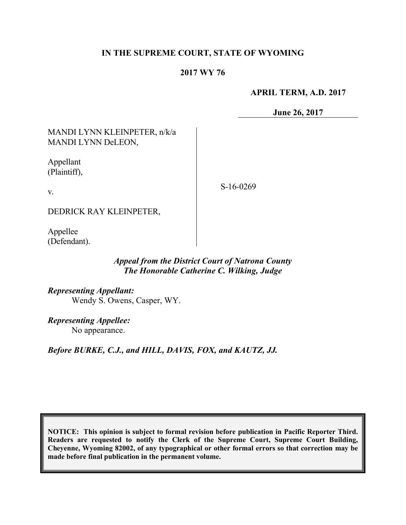## **IN THE SUPREME COURT, STATE OF WYOMING**

### **2017 WY 76**

#### **APRIL TERM, A.D. 2017**

**June 26, 2017**

MANDI LYNN KLEINPETER, n/k/a MANDI LYNN DeLEON,

Appellant (Plaintiff),

v.

S-16-0269

DEDRICK RAY KLEINPETER,

Appellee (Defendant).

### *Appeal from the District Court of Natrona County The Honorable Catherine C. Wilking, Judge*

*Representing Appellant:* Wendy S. Owens, Casper, WY.

*Representing Appellee:* No appearance.

*Before BURKE, C.J., and HILL, DAVIS, FOX, and KAUTZ, JJ.*

**NOTICE: This opinion is subject to formal revision before publication in Pacific Reporter Third. Readers are requested to notify the Clerk of the Supreme Court, Supreme Court Building, Cheyenne, Wyoming 82002, of any typographical or other formal errors so that correction may be made before final publication in the permanent volume.**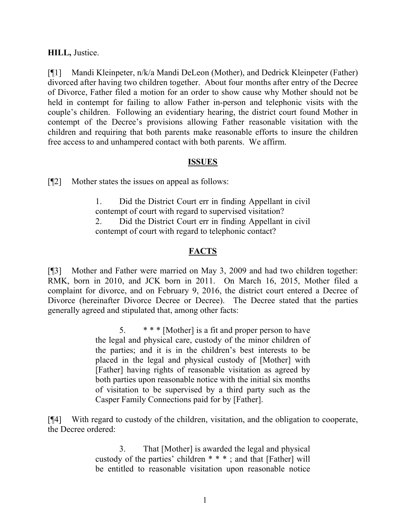## **HILL,** Justice.

[¶1] Mandi Kleinpeter, n/k/a Mandi DeLeon (Mother), and Dedrick Kleinpeter (Father) divorced after having two children together. About four months after entry of the Decree of Divorce, Father filed a motion for an order to show cause why Mother should not be held in contempt for failing to allow Father in-person and telephonic visits with the couple's children. Following an evidentiary hearing, the district court found Mother in contempt of the Decree's provisions allowing Father reasonable visitation with the children and requiring that both parents make reasonable efforts to insure the children free access to and unhampered contact with both parents. We affirm.

## **ISSUES**

[¶2] Mother states the issues on appeal as follows:

1. Did the District Court err in finding Appellant in civil contempt of court with regard to supervised visitation? 2. Did the District Court err in finding Appellant in civil contempt of court with regard to telephonic contact?

## **FACTS**

[¶3] Mother and Father were married on May 3, 2009 and had two children together: RMK, born in 2010, and JCK born in 2011. On March 16, 2015, Mother filed a complaint for divorce, and on February 9, 2016, the district court entered a Decree of Divorce (hereinafter Divorce Decree or Decree). The Decree stated that the parties generally agreed and stipulated that, among other facts:

> 5. \* \* \* [Mother] is a fit and proper person to have the legal and physical care, custody of the minor children of the parties; and it is in the children's best interests to be placed in the legal and physical custody of [Mother] with [Father] having rights of reasonable visitation as agreed by both parties upon reasonable notice with the initial six months of visitation to be supervised by a third party such as the Casper Family Connections paid for by [Father].

[¶4] With regard to custody of the children, visitation, and the obligation to cooperate, the Decree ordered:

> 3. That [Mother] is awarded the legal and physical custody of the parties' children \* \* \* ; and that [Father] will be entitled to reasonable visitation upon reasonable notice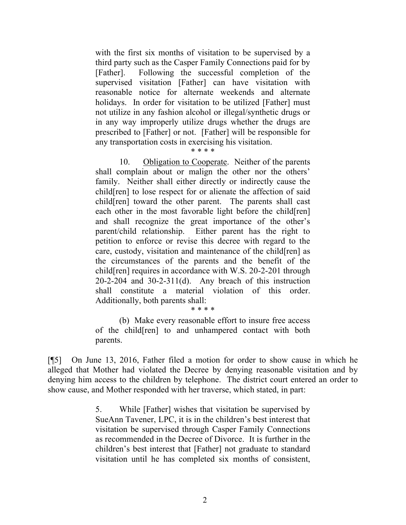with the first six months of visitation to be supervised by a third party such as the Casper Family Connections paid for by [Father]. Following the successful completion of the supervised visitation [Father] can have visitation with reasonable notice for alternate weekends and alternate holidays. In order for visitation to be utilized [Father] must not utilize in any fashion alcohol or illegal/synthetic drugs or in any way improperly utilize drugs whether the drugs are prescribed to [Father] or not. [Father] will be responsible for any transportation costs in exercising his visitation.

## \* \* \* \*

10. Obligation to Cooperate. Neither of the parents shall complain about or malign the other nor the others' family. Neither shall either directly or indirectly cause the child[ren] to lose respect for or alienate the affection of said child[ren] toward the other parent. The parents shall cast each other in the most favorable light before the child[ren] and shall recognize the great importance of the other's parent/child relationship. Either parent has the right to petition to enforce or revise this decree with regard to the care, custody, visitation and maintenance of the child[ren] as the circumstances of the parents and the benefit of the child[ren] requires in accordance with W.S. 20-2-201 through 20-2-204 and 30-2-311(d). Any breach of this instruction shall constitute a material violation of this order. Additionally, both parents shall:

#### \* \* \* \*

(b) Make every reasonable effort to insure free access of the child[ren] to and unhampered contact with both parents.

[¶5] On June 13, 2016, Father filed a motion for order to show cause in which he alleged that Mother had violated the Decree by denying reasonable visitation and by denying him access to the children by telephone. The district court entered an order to show cause, and Mother responded with her traverse, which stated, in part:

> 5. While [Father] wishes that visitation be supervised by SueAnn Tavener, LPC, it is in the children's best interest that visitation be supervised through Casper Family Connections as recommended in the Decree of Divorce. It is further in the children's best interest that [Father] not graduate to standard visitation until he has completed six months of consistent,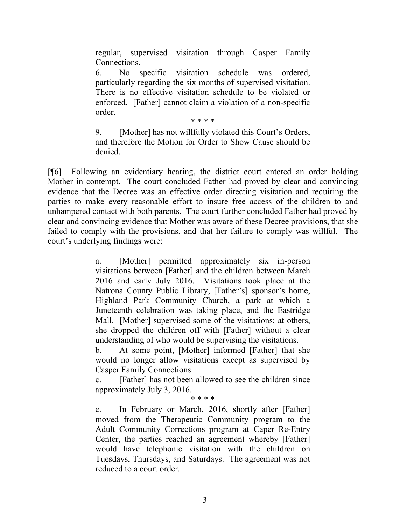regular, supervised visitation through Casper Family Connections.

6. No specific visitation schedule was ordered, particularly regarding the six months of supervised visitation. There is no effective visitation schedule to be violated or enforced. [Father] cannot claim a violation of a non-specific order.

\* \* \* \*

9. [Mother] has not willfully violated this Court's Orders, and therefore the Motion for Order to Show Cause should be denied.

[¶6] Following an evidentiary hearing, the district court entered an order holding Mother in contempt. The court concluded Father had proved by clear and convincing evidence that the Decree was an effective order directing visitation and requiring the parties to make every reasonable effort to insure free access of the children to and unhampered contact with both parents. The court further concluded Father had proved by clear and convincing evidence that Mother was aware of these Decree provisions, that she failed to comply with the provisions, and that her failure to comply was willful. The court's underlying findings were:

> a. [Mother] permitted approximately six in-person visitations between [Father] and the children between March 2016 and early July 2016. Visitations took place at the Natrona County Public Library, [Father's] sponsor's home, Highland Park Community Church, a park at which a Juneteenth celebration was taking place, and the Eastridge Mall. [Mother] supervised some of the visitations; at others, she dropped the children off with [Father] without a clear understanding of who would be supervising the visitations.

> b. At some point, [Mother] informed [Father] that she would no longer allow visitations except as supervised by Casper Family Connections.

> c. [Father] has not been allowed to see the children since approximately July 3, 2016.

\* \* \* \*

e. In February or March, 2016, shortly after [Father] moved from the Therapeutic Community program to the Adult Community Corrections program at Caper Re-Entry Center, the parties reached an agreement whereby [Father] would have telephonic visitation with the children on Tuesdays, Thursdays, and Saturdays. The agreement was not reduced to a court order.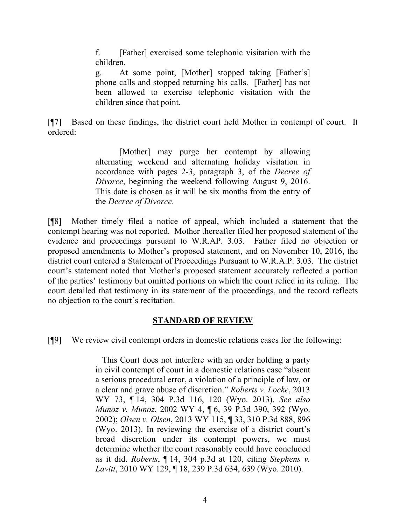f. [Father] exercised some telephonic visitation with the children.

g. At some point, [Mother] stopped taking [Father's] phone calls and stopped returning his calls. [Father] has not been allowed to exercise telephonic visitation with the children since that point.

[¶7] Based on these findings, the district court held Mother in contempt of court. It ordered:

> [Mother] may purge her contempt by allowing alternating weekend and alternating holiday visitation in accordance with pages 2-3, paragraph 3, of the *Decree of Divorce*, beginning the weekend following August 9, 2016. This date is chosen as it will be six months from the entry of the *Decree of Divorce*.

[¶8] Mother timely filed a notice of appeal, which included a statement that the contempt hearing was not reported. Mother thereafter filed her proposed statement of the evidence and proceedings pursuant to W.R.AP. 3.03. Father filed no objection or proposed amendments to Mother's proposed statement, and on November 10, 2016, the district court entered a Statement of Proceedings Pursuant to W.R.A.P. 3.03. The district court's statement noted that Mother's proposed statement accurately reflected a portion of the parties' testimony but omitted portions on which the court relied in its ruling. The court detailed that testimony in its statement of the proceedings, and the record reflects no objection to the court's recitation.

## **STANDARD OF REVIEW**

[¶9] We review civil contempt orders in domestic relations cases for the following:

 This Court does not interfere with an order holding a party in civil contempt of court in a domestic relations case "absent a serious procedural error, a violation of a principle of law, or a clear and grave abuse of discretion." *Roberts v. Locke*, 2013 WY 73, ¶ 14, 304 P.3d 116, 120 (Wyo. 2013). *See also Munoz v. Munoz*, 2002 WY 4, ¶ 6, 39 P.3d 390, 392 (Wyo. 2002); *Olsen v. Olsen*, 2013 WY 115, ¶ 33, 310 P.3d 888, 896 (Wyo. 2013). In reviewing the exercise of a district court's broad discretion under its contempt powers, we must determine whether the court reasonably could have concluded as it did. *Roberts*, ¶ 14, 304 p.3d at 120, citing *Stephens v. Lavitt*, 2010 WY 129, ¶ 18, 239 P.3d 634, 639 (Wyo. 2010).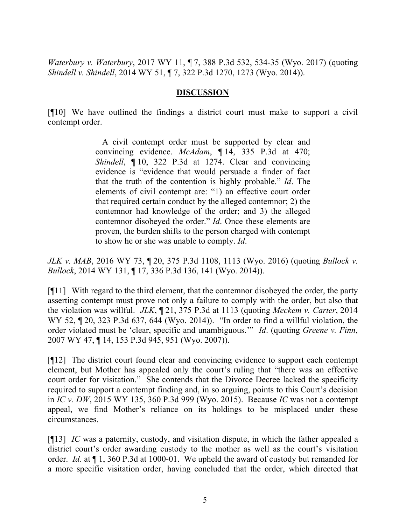*Waterbury v. Waterbury*, 2017 WY 11, ¶ 7, 388 P.3d 532, 534-35 (Wyo. 2017) (quoting *Shindell v. Shindell*, 2014 WY 51, ¶ 7, 322 P.3d 1270, 1273 (Wyo. 2014)).

### **DISCUSSION**

[¶10] We have outlined the findings a district court must make to support a civil contempt order.

> A civil contempt order must be supported by clear and convincing evidence. *McAdam*, ¶ 14, 335 P.3d at 470; *Shindell*, ¶ 10, 322 P.3d at 1274. Clear and convincing evidence is "evidence that would persuade a finder of fact that the truth of the contention is highly probable." *Id*. The elements of civil contempt are: "1) an effective court order that required certain conduct by the alleged contemnor; 2) the contemnor had knowledge of the order; and 3) the alleged contemnor disobeyed the order." *Id*. Once these elements are proven, the burden shifts to the person charged with contempt to show he or she was unable to comply. *Id*.

*JLK v. MAB*, 2016 WY 73, ¶ 20, 375 P.3d 1108, 1113 (Wyo. 2016) (quoting *Bullock v. Bullock*, 2014 WY 131, ¶ 17, 336 P.3d 136, 141 (Wyo. 2014)).

[¶11] With regard to the third element, that the contemnor disobeyed the order, the party asserting contempt must prove not only a failure to comply with the order, but also that the violation was willful. *JLK*, ¶ 21, 375 P.3d at 1113 (quoting *Meckem v. Carter*, 2014 WY 52, ¶ 20, 323 P.3d 637, 644 (Wyo. 2014)). "In order to find a willful violation, the order violated must be 'clear, specific and unambiguous.'" *Id*. (quoting *Greene v. Finn*, 2007 WY 47, ¶ 14, 153 P.3d 945, 951 (Wyo. 2007)).

[¶12] The district court found clear and convincing evidence to support each contempt element, but Mother has appealed only the court's ruling that "there was an effective court order for visitation." She contends that the Divorce Decree lacked the specificity required to support a contempt finding and, in so arguing, points to this Court's decision in *IC v. DW*, 2015 WY 135, 360 P.3d 999 (Wyo. 2015). Because *IC* was not a contempt appeal, we find Mother's reliance on its holdings to be misplaced under these circumstances.

[¶13] *IC* was a paternity, custody, and visitation dispute, in which the father appealed a district court's order awarding custody to the mother as well as the court's visitation order. *Id.* at ¶ 1, 360 P.3d at 1000-01. We upheld the award of custody but remanded for a more specific visitation order, having concluded that the order, which directed that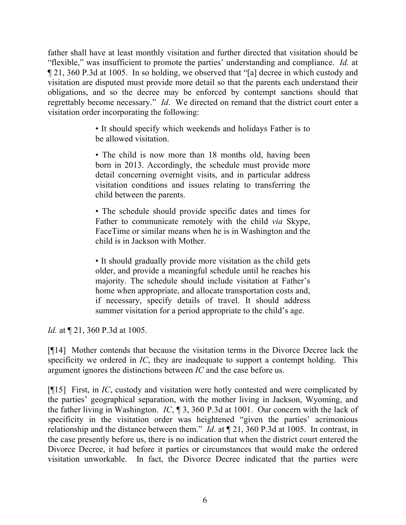father shall have at least monthly visitation and further directed that visitation should be "flexible," was insufficient to promote the parties' understanding and compliance. *Id.* at ¶ 21, 360 P.3d at 1005. In so holding, we observed that "[a] decree in which custody and visitation are disputed must provide more detail so that the parents each understand their obligations, and so the decree may be enforced by contempt sanctions should that regrettably become necessary." *Id*. We directed on remand that the district court enter a visitation order incorporating the following:

> • It should specify which weekends and holidays Father is to be allowed visitation.

> • The child is now more than 18 months old, having been born in 2013. Accordingly, the schedule must provide more detail concerning overnight visits, and in particular address visitation conditions and issues relating to transferring the child between the parents.

> • The schedule should provide specific dates and times for Father to communicate remotely with the child *via* Skype, FaceTime or similar means when he is in Washington and the child is in Jackson with Mother.

> • It should gradually provide more visitation as the child gets older, and provide a meaningful schedule until he reaches his majority. The schedule should include visitation at Father's home when appropriate, and allocate transportation costs and, if necessary, specify details of travel. It should address summer visitation for a period appropriate to the child's age.

*Id.* at  $\P$  21, 360 P.3d at 1005.

[¶14] Mother contends that because the visitation terms in the Divorce Decree lack the specificity we ordered in *IC*, they are inadequate to support a contempt holding. This argument ignores the distinctions between *IC* and the case before us.

[¶15] First, in *IC*, custody and visitation were hotly contested and were complicated by the parties' geographical separation, with the mother living in Jackson, Wyoming, and the father living in Washington. *IC*, ¶ 3, 360 P.3d at 1001. Our concern with the lack of specificity in the visitation order was heightened "given the parties' acrimonious relationship and the distance between them." *Id*. at ¶ 21, 360 P.3d at 1005. In contrast, in the case presently before us, there is no indication that when the district court entered the Divorce Decree, it had before it parties or circumstances that would make the ordered visitation unworkable. In fact, the Divorce Decree indicated that the parties were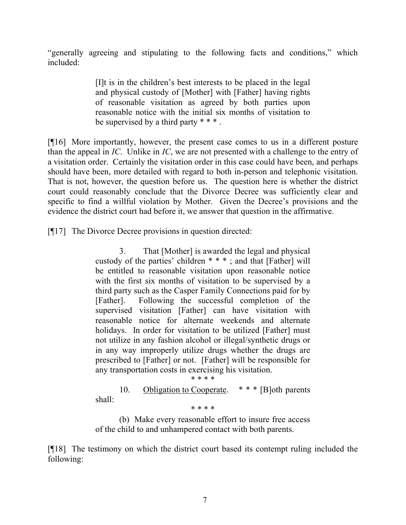"generally agreeing and stipulating to the following facts and conditions," which included:

> [I]t is in the children's best interests to be placed in the legal and physical custody of [Mother] with [Father] having rights of reasonable visitation as agreed by both parties upon reasonable notice with the initial six months of visitation to be supervised by a third party \* \* \* .

[¶16] More importantly, however, the present case comes to us in a different posture than the appeal in *IC*. Unlike in *IC*, we are not presented with a challenge to the entry of a visitation order. Certainly the visitation order in this case could have been, and perhaps should have been, more detailed with regard to both in-person and telephonic visitation. That is not, however, the question before us. The question here is whether the district court could reasonably conclude that the Divorce Decree was sufficiently clear and specific to find a willful violation by Mother. Given the Decree's provisions and the evidence the district court had before it, we answer that question in the affirmative.

[¶17] The Divorce Decree provisions in question directed:

3. That [Mother] is awarded the legal and physical custody of the parties' children \* \* \* ; and that [Father] will be entitled to reasonable visitation upon reasonable notice with the first six months of visitation to be supervised by a third party such as the Casper Family Connections paid for by [Father]. Following the successful completion of the supervised visitation [Father] can have visitation with reasonable notice for alternate weekends and alternate holidays. In order for visitation to be utilized [Father] must not utilize in any fashion alcohol or illegal/synthetic drugs or in any way improperly utilize drugs whether the drugs are prescribed to [Father] or not. [Father] will be responsible for any transportation costs in exercising his visitation. \* \* \* \*

10. Obligation to Cooperate. \* \* \* [B]oth parents shall:

\* \* \* \*

(b) Make every reasonable effort to insure free access of the child to and unhampered contact with both parents.

[¶18] The testimony on which the district court based its contempt ruling included the following: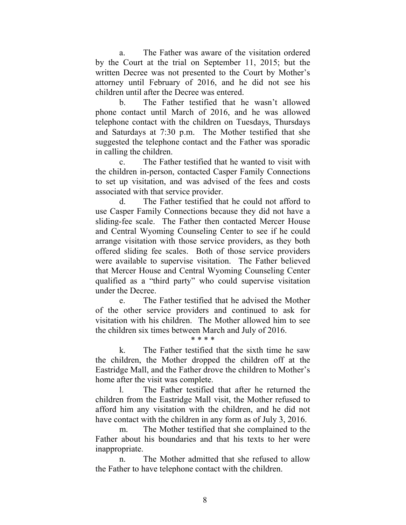a. The Father was aware of the visitation ordered by the Court at the trial on September 11, 2015; but the written Decree was not presented to the Court by Mother's attorney until February of 2016, and he did not see his children until after the Decree was entered.

b. The Father testified that he wasn't allowed phone contact until March of 2016, and he was allowed telephone contact with the children on Tuesdays, Thursdays and Saturdays at 7:30 p.m. The Mother testified that she suggested the telephone contact and the Father was sporadic in calling the children.

c. The Father testified that he wanted to visit with the children in-person, contacted Casper Family Connections to set up visitation, and was advised of the fees and costs associated with that service provider.

d. The Father testified that he could not afford to use Casper Family Connections because they did not have a sliding-fee scale. The Father then contacted Mercer House and Central Wyoming Counseling Center to see if he could arrange visitation with those service providers, as they both offered sliding fee scales. Both of those service providers were available to supervise visitation. The Father believed that Mercer House and Central Wyoming Counseling Center qualified as a "third party" who could supervise visitation under the Decree.

e. The Father testified that he advised the Mother of the other service providers and continued to ask for visitation with his children. The Mother allowed him to see the children six times between March and July of 2016.

\* \* \* \*

k. The Father testified that the sixth time he saw the children, the Mother dropped the children off at the Eastridge Mall, and the Father drove the children to Mother's home after the visit was complete.

l. The Father testified that after he returned the children from the Eastridge Mall visit, the Mother refused to afford him any visitation with the children, and he did not have contact with the children in any form as of July 3, 2016.

m. The Mother testified that she complained to the Father about his boundaries and that his texts to her were inappropriate.

n. The Mother admitted that she refused to allow the Father to have telephone contact with the children.